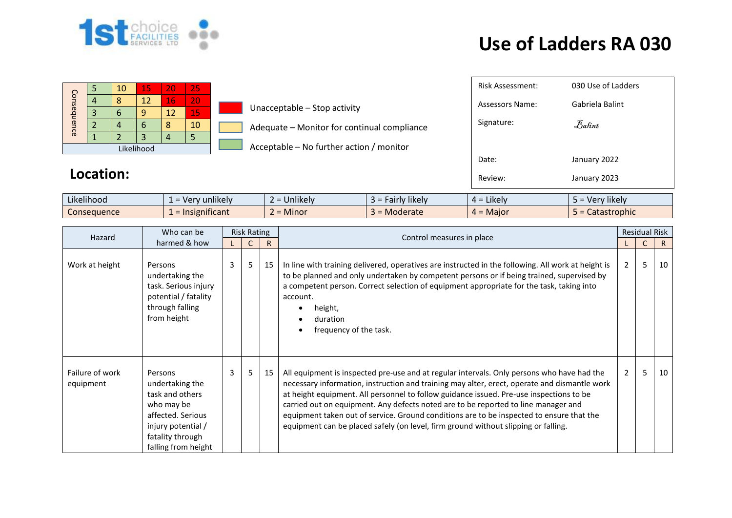

## **Use of Ladders RA 030**

January 2023

| Consequence |  | 10 | 15 | 20 | 25 |  |  |
|-------------|--|----|----|----|----|--|--|
|             |  |    | 12 | 16 | 20 |  |  |
|             |  |    |    | 12 | 15 |  |  |
|             |  |    | h  |    | 10 |  |  |
|             |  |    |    |    |    |  |  |
| Likelihood  |  |    |    |    |    |  |  |

|             | Location: |    |               |    |                              |                                             | Review:                | January 2023       |
|-------------|-----------|----|---------------|----|------------------------------|---------------------------------------------|------------------------|--------------------|
|             |           |    |               |    |                              |                                             | Date:                  | January 2022       |
| Likelihood  |           |    |               |    |                              | Acceptable – No further action / monitor    |                        |                    |
|             |           |    |               |    | 5                            |                                             |                        |                    |
| Consequence |           |    | $\mathbf b$   | 8  | 10                           | Adequate - Monitor for continual compliance | Signature:             | Balint             |
| 3           |           | b  | 12<br>9<br>15 |    | Unacceptable - Stop activity |                                             |                        |                    |
|             | 4         |    | 12            | 16 | 20                           |                                             | <b>Assessors Name:</b> | Gabriela Balint    |
|             |           | 10 | 15            | 20 | 25                           |                                             | Risk Assessment:       | 030 Use of Ladders |

 $\sqrt{ }$ 

| $\cdots$<br>$\cdots$<br>Likelihood | $\cdots$<br>nlikelv<br>. Ver<br>$-$<br>$\overline{\phantom{a}}$  | <b>Jnlikely</b> | $\cdots$<br>likel\<br>, airly | Likely<br><u>—</u><br>∸ – | $\cdots$<br>' likelv<br><b>Ver</b> |
|------------------------------------|------------------------------------------------------------------|-----------------|-------------------------------|---------------------------|------------------------------------|
| <i>C</i> onsequence                | $\sim$ $\sim$ $\sim$<br>nsignificant<br>$\overline{\phantom{0}}$ | Minor           | Moderate<br>_                 | $=$ Maior                 | astrophic<br>alası                 |

| Hazard                       | Who can be                                                                                                                                        | <b>Risk Rating</b> |    |              | Control measures in place                                                                                                                                                                                                                                                                                                                                                                                                                                                                                                                                     |   | <b>Residual Risk</b> |    |
|------------------------------|---------------------------------------------------------------------------------------------------------------------------------------------------|--------------------|----|--------------|---------------------------------------------------------------------------------------------------------------------------------------------------------------------------------------------------------------------------------------------------------------------------------------------------------------------------------------------------------------------------------------------------------------------------------------------------------------------------------------------------------------------------------------------------------------|---|----------------------|----|
|                              | harmed & how                                                                                                                                      |                    |    | $\mathsf{R}$ |                                                                                                                                                                                                                                                                                                                                                                                                                                                                                                                                                               |   |                      | R. |
| Work at height               | Persons<br>undertaking the<br>task. Serious injury<br>potential / fatality<br>through falling<br>from height                                      | 3                  | 5  | 15           | In line with training delivered, operatives are instructed in the following. All work at height is<br>to be planned and only undertaken by competent persons or if being trained, supervised by<br>a competent person. Correct selection of equipment appropriate for the task, taking into<br>account.<br>height,<br>duration<br>frequency of the task.                                                                                                                                                                                                      | 2 | 5                    | 10 |
| Failure of work<br>equipment | Persons<br>undertaking the<br>task and others<br>who may be<br>affected. Serious<br>injury potential /<br>fatality through<br>falling from height | 3                  | 5. | 15           | All equipment is inspected pre-use and at regular intervals. Only persons who have had the<br>necessary information, instruction and training may alter, erect, operate and dismantle work<br>at height equipment. All personnel to follow guidance issued. Pre-use inspections to be<br>carried out on equipment. Any defects noted are to be reported to line manager and<br>equipment taken out of service. Ground conditions are to be inspected to ensure that the<br>equipment can be placed safely (on level, firm ground without slipping or falling. | 2 | 5                    | 10 |